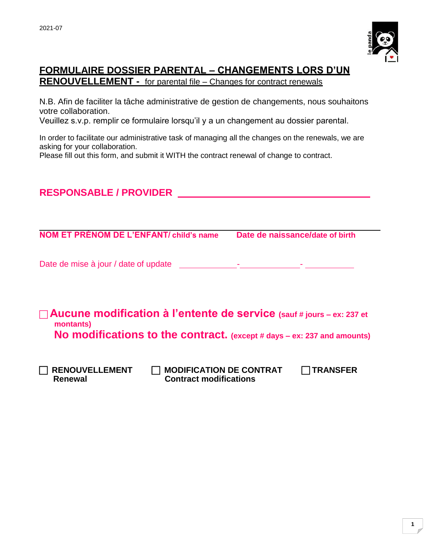

## **FORMULAIRE DOSSIER PARENTAL – CHANGEMENTS LORS D'UN RENOUVELLEMENT -** for parental file – Changes for contract renewals

N.B. Afin de faciliter la tâche administrative de gestion de changements, nous souhaitons votre collaboration.

Veuillez s.v.p. remplir ce formulaire lorsqu'il y a un changement au dossier parental.

In order to facilitate our administrative task of managing all the changes on the renewals, we are asking for your collaboration.

Please fill out this form, and submit it WITH the contract renewal of change to contract.

**RESPONSABLE / PROVIDER** 

| <b>NOM ET PRÉNOM DE L'ENFANT/ child's name</b>                                                                                                                | Date de naissance/date of birth |
|---------------------------------------------------------------------------------------------------------------------------------------------------------------|---------------------------------|
| Date de mise à jour / date of update                                                                                                                          |                                 |
| Aucune modification à l'entente de service (sauf # jours – ex: 237 et<br>montants)<br>No modifications to the contract. (except # days – ex: 237 and amounts) |                                 |
| <b>RENOUVELLEMENT</b><br><b>MODIFICATION DE CONTRAT</b><br><b>Contract modifications</b><br>Renewal                                                           | TRANSFER                        |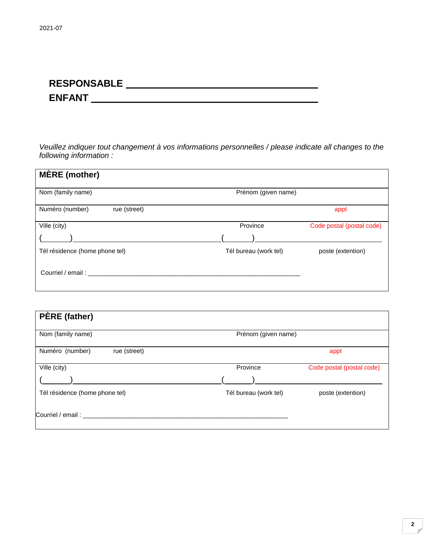## **RESPONSABLE ENFANT**

*Veuillez indiquer tout changement à vos informations personnelles / please indicate all changes to the following information :*

| <b>MÈRE</b> (mother)            |                       |                           |
|---------------------------------|-----------------------|---------------------------|
| Nom (family name)               | Prénom (given name)   |                           |
| Numéro (number)<br>rue (street) |                       | appt                      |
| Ville (city)                    | Province              | Code postal (postal code) |
|                                 |                       |                           |
| Tél résidence (home phone tel)  | Tél bureau (work tel) | poste (extention)         |
| Courriel / email:               |                       |                           |

| <b>PÈRE</b> (father)            |                       |                           |
|---------------------------------|-----------------------|---------------------------|
| Nom (family name)               | Prénom (given name)   |                           |
| Numéro (number)<br>rue (street) |                       | appt                      |
| Ville (city)                    | Province              | Code postal (postal code) |
|                                 |                       |                           |
| Tél résidence (home phone tel)  | Tél bureau (work tel) | poste (extention)         |
| Courriel / email: _________     |                       |                           |